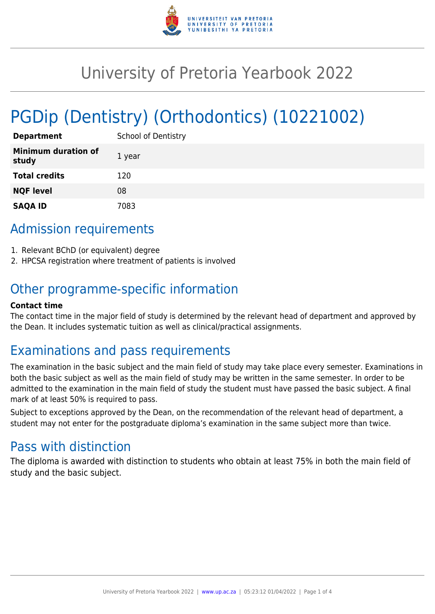

# University of Pretoria Yearbook 2022

# PGDip (Dentistry) (Orthodontics) (10221002)

| <b>Department</b>                   | <b>School of Dentistry</b> |
|-------------------------------------|----------------------------|
| <b>Minimum duration of</b><br>study | 1 year                     |
| <b>Total credits</b>                | 120                        |
| <b>NQF level</b>                    | 08                         |
| <b>SAQA ID</b>                      | 7083                       |

# Admission requirements

- 1. Relevant BChD (or equivalent) degree
- 2. HPCSA registration where treatment of patients is involved

# Other programme-specific information

#### **Contact time**

The contact time in the major field of study is determined by the relevant head of department and approved by the Dean. It includes systematic tuition as well as clinical/practical assignments.

# Examinations and pass requirements

The examination in the basic subject and the main field of study may take place every semester. Examinations in both the basic subject as well as the main field of study may be written in the same semester. In order to be admitted to the examination in the main field of study the student must have passed the basic subject. A final mark of at least 50% is required to pass.

Subject to exceptions approved by the Dean, on the recommendation of the relevant head of department, a student may not enter for the postgraduate diploma's examination in the same subject more than twice.

# Pass with distinction

The diploma is awarded with distinction to students who obtain at least 75% in both the main field of study and the basic subject.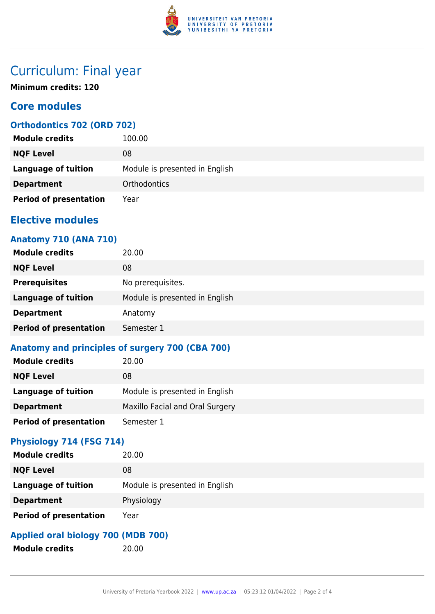

# Curriculum: Final year

**Minimum credits: 120**

## **Core modules**

## **Orthodontics 702 (ORD 702)**

| <b>Module credits</b>         | 100.00                         |
|-------------------------------|--------------------------------|
| <b>NQF Level</b>              | 08                             |
| <b>Language of tuition</b>    | Module is presented in English |
| <b>Department</b>             | <b>Orthodontics</b>            |
| <b>Period of presentation</b> | Year                           |

## **Elective modules**

### **Anatomy 710 (ANA 710)**

| <b>Module credits</b>         | 20.00                          |
|-------------------------------|--------------------------------|
| <b>NQF Level</b>              | 08                             |
| <b>Prerequisites</b>          | No prerequisites.              |
| <b>Language of tuition</b>    | Module is presented in English |
| <b>Department</b>             | Anatomy                        |
| <b>Period of presentation</b> | Semester 1                     |

# **Anatomy and principles of surgery 700 (CBA 700)**

| <b>Module credits</b>         | 20.00                           |
|-------------------------------|---------------------------------|
| <b>NQF Level</b>              | 08                              |
| <b>Language of tuition</b>    | Module is presented in English  |
| <b>Department</b>             | Maxillo Facial and Oral Surgery |
| <b>Period of presentation</b> | Semester 1                      |

#### **Physiology 714 (FSG 714)**

| <b>Module credits</b>         | 20.00                          |
|-------------------------------|--------------------------------|
| <b>NQF Level</b>              | 08                             |
| <b>Language of tuition</b>    | Module is presented in English |
| <b>Department</b>             | Physiology                     |
| <b>Period of presentation</b> | Year                           |

## **Applied oral biology 700 (MDB 700)**

**Module credits** 20.00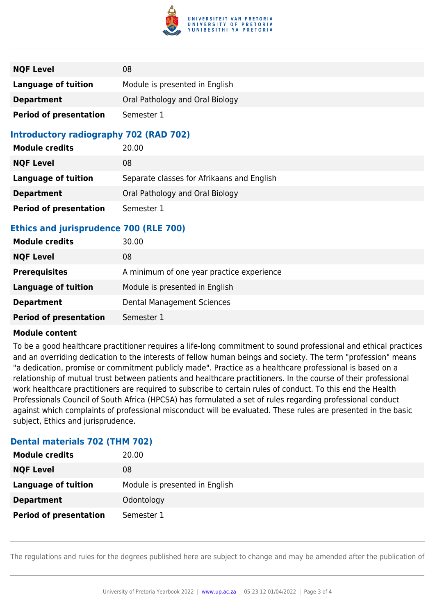

| <b>NQF Level</b>              | 08                              |
|-------------------------------|---------------------------------|
| <b>Language of tuition</b>    | Module is presented in English  |
| <b>Department</b>             | Oral Pathology and Oral Biology |
| <b>Period of presentation</b> | Semester 1                      |

### **Introductory radiography 702 (RAD 702)**

| <b>Module credits</b>         | 20.00                                      |
|-------------------------------|--------------------------------------------|
| <b>NQF Level</b>              | 08                                         |
| Language of tuition           | Separate classes for Afrikaans and English |
| <b>Department</b>             | Oral Pathology and Oral Biology            |
| <b>Period of presentation</b> | Semester 1                                 |

## **Ethics and jurisprudence 700 (RLE 700)**

| <b>Module credits</b>         | 30.00                                     |
|-------------------------------|-------------------------------------------|
| <b>NQF Level</b>              | 08                                        |
| <b>Prerequisites</b>          | A minimum of one year practice experience |
| Language of tuition           | Module is presented in English            |
| <b>Department</b>             | Dental Management Sciences                |
| <b>Period of presentation</b> | Semester 1                                |

#### **Module content**

To be a good healthcare practitioner requires a life-long commitment to sound professional and ethical practices and an overriding dedication to the interests of fellow human beings and society. The term "profession" means "a dedication, promise or commitment publicly made". Practice as a healthcare professional is based on a relationship of mutual trust between patients and healthcare practitioners. In the course of their professional work healthcare practitioners are required to subscribe to certain rules of conduct. To this end the Health Professionals Council of South Africa (HPCSA) has formulated a set of rules regarding professional conduct against which complaints of professional misconduct will be evaluated. These rules are presented in the basic subject, Ethics and jurisprudence.

#### **Dental materials 702 (THM 702)**

| <b>Module credits</b>         | 20.00                          |
|-------------------------------|--------------------------------|
| <b>NQF Level</b>              | 08                             |
| <b>Language of tuition</b>    | Module is presented in English |
| <b>Department</b>             | Odontology                     |
| <b>Period of presentation</b> | Semester 1                     |

The regulations and rules for the degrees published here are subject to change and may be amended after the publication of